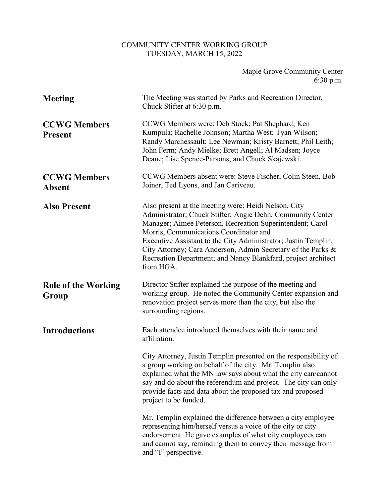## COMMUNITY CENTER WORKING GROUP TUESDAY, MARCH 15, 2022

| Maple Grove Community Center |             |
|------------------------------|-------------|
|                              | $6:30$ p.m. |

| <b>Meeting</b>                        | The Meeting was started by Parks and Recreation Director,<br>Chuck Stifter at 6:30 p.m.                                                                                                                                                                                                                                                                                                                                                   |
|---------------------------------------|-------------------------------------------------------------------------------------------------------------------------------------------------------------------------------------------------------------------------------------------------------------------------------------------------------------------------------------------------------------------------------------------------------------------------------------------|
| <b>CCWG Members</b><br><b>Present</b> | CCWG Members were: Deb Stock; Pat Shephard; Ken<br>Kumpula; Rachelle Johnson; Martha West; Tyan Wilson;<br>Randy Marchessault; Lee Newman; Kristy Barnett; Phil Leith;<br>John Ferm; Andy Mielke; Brett Angell; Al Madsen; Joyce<br>Deane; Lise Spence-Parsons; and Chuck Skajewski.                                                                                                                                                      |
| <b>CCWG Members</b><br><b>Absent</b>  | CCWG Members absent were: Steve Fischer, Colin Steen, Bob<br>Joiner, Ted Lyons, and Jan Cariveau.                                                                                                                                                                                                                                                                                                                                         |
| <b>Also Present</b>                   | Also present at the meeting were: Heidi Nelson, City<br>Administrator; Chuck Stifter; Angie Dehn, Community Center<br>Manager; Aimee Peterson, Recreation Superintendent; Carol<br>Morris, Communications Coordinator and<br>Executive Assistant to the City Administrator; Justin Templin,<br>City Attorney; Cara Anderson, Admin Secretary of the Parks &<br>Recreation Department; and Nancy Blankfard, project architect<br>from HGA. |
| <b>Role of the Working</b><br>Group   | Director Stifter explained the purpose of the meeting and<br>working group. He noted the Community Center expansion and<br>renovation project serves more than the city, but also the<br>surrounding regions.                                                                                                                                                                                                                             |
| <b>Introductions</b>                  | Each attendee introduced themselves with their name and<br>affiliation.                                                                                                                                                                                                                                                                                                                                                                   |
|                                       | City Attorney, Justin Templin presented on the responsibility of<br>a group working on behalf of the city. Mr. Templin also<br>explained what the MN law says about what the city can/cannot<br>say and do about the referendum and project. The city can only<br>provide facts and data about the proposed tax and proposed<br>project to be funded.                                                                                     |
|                                       | Mr. Templin explained the difference between a city employee<br>representing him/herself versus a voice of the city or city<br>endorsement. He gave examples of what city employees can<br>and cannot say, reminding them to convey their message from<br>and "I" perspective.                                                                                                                                                            |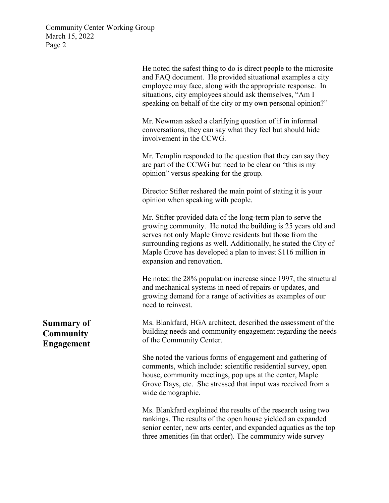|                                                            | He noted the safest thing to do is direct people to the microsite<br>and FAQ document. He provided situational examples a city<br>employee may face, along with the appropriate response. In<br>situations, city employees should ask themselves, "Am I<br>speaking on behalf of the city or my own personal opinion?"                                   |
|------------------------------------------------------------|----------------------------------------------------------------------------------------------------------------------------------------------------------------------------------------------------------------------------------------------------------------------------------------------------------------------------------------------------------|
|                                                            | Mr. Newman asked a clarifying question of if in informal<br>conversations, they can say what they feel but should hide<br>involvement in the CCWG.                                                                                                                                                                                                       |
|                                                            | Mr. Templin responded to the question that they can say they<br>are part of the CCWG but need to be clear on "this is my<br>opinion" versus speaking for the group.                                                                                                                                                                                      |
|                                                            | Director Stifter reshared the main point of stating it is your<br>opinion when speaking with people.                                                                                                                                                                                                                                                     |
|                                                            | Mr. Stifter provided data of the long-term plan to serve the<br>growing community. He noted the building is 25 years old and<br>serves not only Maple Grove residents but those from the<br>surrounding regions as well. Additionally, he stated the City of<br>Maple Grove has developed a plan to invest \$116 million in<br>expansion and renovation. |
|                                                            | He noted the 28% population increase since 1997, the structural<br>and mechanical systems in need of repairs or updates, and<br>growing demand for a range of activities as examples of our<br>need to reinvest.                                                                                                                                         |
| <b>Summary of</b><br><b>Community</b><br><b>Engagement</b> | Ms. Blankfard, HGA architect, described the assessment of the<br>building needs and community engagement regarding the needs<br>of the Community Center.                                                                                                                                                                                                 |
|                                                            | She noted the various forms of engagement and gathering of<br>comments, which include: scientific residential survey, open<br>house, community meetings, pop ups at the center, Maple<br>Grove Days, etc. She stressed that input was received from a<br>wide demographic.                                                                               |
|                                                            | Ms. Blankfard explained the results of the research using two<br>rankings. The results of the open house yielded an expanded<br>senior center, new arts center, and expanded aquatics as the top<br>three amenities (in that order). The community wide survey                                                                                           |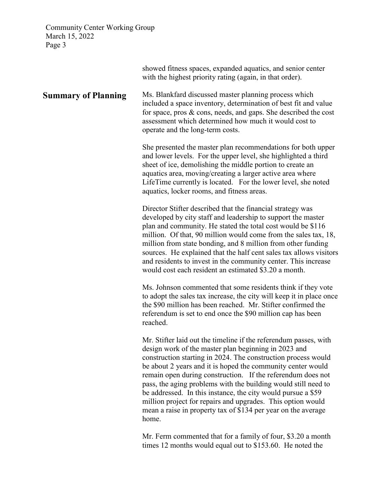|                            | showed fitness spaces, expanded aquatics, and senior center<br>with the highest priority rating (again, in that order).                                                                                                                                                                                                                                                                                                                                                                                                                                                                            |
|----------------------------|----------------------------------------------------------------------------------------------------------------------------------------------------------------------------------------------------------------------------------------------------------------------------------------------------------------------------------------------------------------------------------------------------------------------------------------------------------------------------------------------------------------------------------------------------------------------------------------------------|
| <b>Summary of Planning</b> | Ms. Blankfard discussed master planning process which<br>included a space inventory, determination of best fit and value<br>for space, pros & cons, needs, and gaps. She described the cost<br>assessment which determined how much it would cost to<br>operate and the long-term costs.                                                                                                                                                                                                                                                                                                           |
|                            | She presented the master plan recommendations for both upper<br>and lower levels. For the upper level, she highlighted a third<br>sheet of ice, demolishing the middle portion to create an<br>aquatics area, moving/creating a larger active area where<br>LifeTime currently is located. For the lower level, she noted<br>aquatics, locker rooms, and fitness areas.                                                                                                                                                                                                                            |
|                            | Director Stifter described that the financial strategy was<br>developed by city staff and leadership to support the master<br>plan and community. He stated the total cost would be \$116<br>million. Of that, 90 million would come from the sales tax, 18,<br>million from state bonding, and 8 million from other funding<br>sources. He explained that the half cent sales tax allows visitors<br>and residents to invest in the community center. This increase<br>would cost each resident an estimated \$3.20 a month.                                                                      |
|                            | Ms. Johnson commented that some residents think if they vote<br>to adopt the sales tax increase, the city will keep it in place once<br>the \$90 million has been reached. Mr. Stifter confirmed the<br>referendum is set to end once the \$90 million cap has been<br>reached.                                                                                                                                                                                                                                                                                                                    |
|                            | Mr. Stifter laid out the timeline if the referendum passes, with<br>design work of the master plan beginning in 2023 and<br>construction starting in 2024. The construction process would<br>be about 2 years and it is hoped the community center would<br>remain open during construction. If the referendum does not<br>pass, the aging problems with the building would still need to<br>be addressed. In this instance, the city would pursue a \$59<br>million project for repairs and upgrades. This option would<br>mean a raise in property tax of \$134 per year on the average<br>home. |
|                            | Mr. Ferm commented that for a family of four, \$3.20 a month                                                                                                                                                                                                                                                                                                                                                                                                                                                                                                                                       |

Mr. Ferm commented that for a family of four, \$3.20 a month times 12 months would equal out to \$153.60. He noted the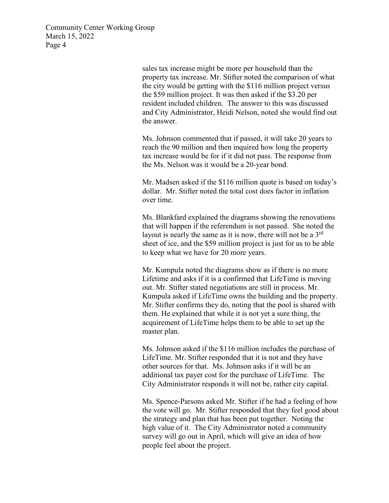> sales tax increase might be more per household than the property tax increase. Mr. Stifter noted the comparison of what the city would be getting with the \$116 million project versus the \$59 million project. It was then asked if the \$3.20 per resident included children. The answer to this was discussed and City Administrator, Heidi Nelson, noted she would find out the answer.

Ms. Johnson commented that if passed, it will take 20 years to reach the 90 million and then inquired how long the property tax increase would be for if it did not pass. The response from the Ms. Nelson was it would be a 20-year bond.

Mr. Madsen asked if the \$116 million quote is based on today's dollar. Mr. Stifter noted the total cost does factor in inflation over time.

Ms. Blankfard explained the diagrams showing the renovations that will happen if the referendum is not passed. She noted the layout is nearly the same as it is now, there will not be a  $3<sup>rd</sup>$ sheet of ice, and the \$59 million project is just for us to be able to keep what we have for 20 more years.

Mr. Kumpula noted the diagrams show as if there is no more Lifetime and asks if it is a confirmed that LifeTime is moving out. Mr. Stifter stated negotiations are still in process. Mr. Kumpula asked if LifeTime owns the building and the property. Mr. Stifter confirms they do, noting that the pool is shared with them. He explained that while it is not yet a sure thing, the acquirement of LifeTime helps them to be able to set up the master plan.

Ms. Johnson asked if the \$116 million includes the purchase of LifeTime. Mr. Stifter responded that it is not and they have other sources for that. Ms. Johnson asks if it will be an additional tax payer cost for the purchase of LifeTime. The City Administrator responds it will not be, rather city capital.

Ms. Spence-Parsons asked Mr. Stifter if he had a feeling of how the vote will go. Mr. Stifter responded that they feel good about the strategy and plan that has been put together. Noting the high value of it. The City Administrator noted a community survey will go out in April, which will give an idea of how people feel about the project.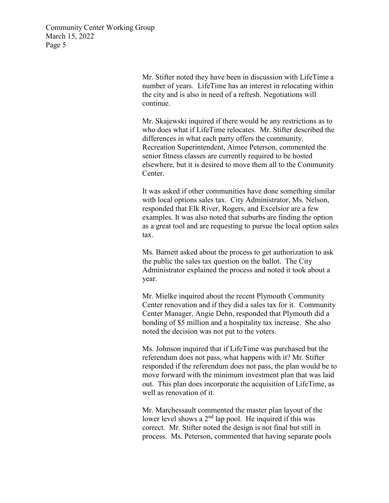> Mr. Stifter noted they have been in discussion with LifeTime a number of years. LifeTime has an interest in relocating within the city and is also in need of a refresh. Negotiations will continue.

> Mr. Skajewski inquired if there would be any restrictions as to who does what if LifeTime relocates. Mr. Stifter described the differences in what each party offers the community. Recreation Superintendent, Aimee Peterson, commented the senior fitness classes are currently required to be hosted elsewhere, but it is desired to move them all to the Community Center.

It was asked if other communities have done something similar with local options sales tax. City Administrator, Ms. Nelson, responded that Elk River, Rogers, and Excelsior are a few examples. It was also noted that suburbs are finding the option as a great tool and are requesting to pursue the local option sales tax.

Ms. Barnett asked about the process to get authorization to ask the public the sales tax question on the ballot. The City Administrator explained the process and noted it took about a year.

Mr. Mielke inquired about the recent Plymouth Community Center renovation and if they did a sales tax for it. Community Center Manager, Angie Dehn, responded that Plymouth did a bonding of \$5 million and a hospitality tax increase. She also noted the decision was not put to the voters.

Ms. Johnson inquired that if LifeTime was purchased but the referendum does not pass, what happens with it? Mr. Stifter responded if the referendum does not pass, the plan would be to move forward with the minimum investment plan that was laid out. This plan does incorporate the acquisition of LifeTime, as well as renovation of it.

Mr. Marchessault commented the master plan layout of the lower level shows a  $2<sup>nd</sup>$  lap pool. He inquired if this was correct. Mr. Stifter noted the design is not final but still in process. Ms. Peterson, commented that having separate pools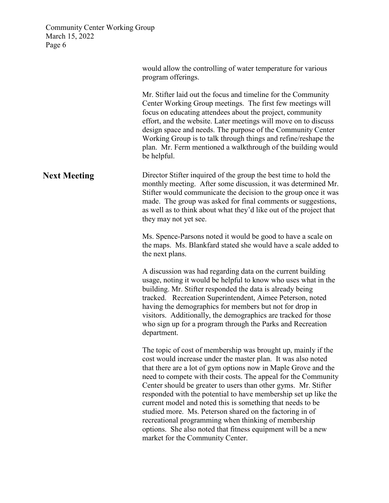|                     | would allow the controlling of water temperature for various<br>program offerings.                                                                                                                                                                                                                                                                                                                                                                                                                                                                                                                                                                                                           |
|---------------------|----------------------------------------------------------------------------------------------------------------------------------------------------------------------------------------------------------------------------------------------------------------------------------------------------------------------------------------------------------------------------------------------------------------------------------------------------------------------------------------------------------------------------------------------------------------------------------------------------------------------------------------------------------------------------------------------|
|                     | Mr. Stifter laid out the focus and timeline for the Community<br>Center Working Group meetings. The first few meetings will<br>focus on educating attendees about the project, community<br>effort, and the website. Later meetings will move on to discuss<br>design space and needs. The purpose of the Community Center<br>Working Group is to talk through things and refine/reshape the<br>plan. Mr. Ferm mentioned a walkthrough of the building would<br>be helpful.                                                                                                                                                                                                                  |
| <b>Next Meeting</b> | Director Stifter inquired of the group the best time to hold the<br>monthly meeting. After some discussion, it was determined Mr.<br>Stifter would communicate the decision to the group once it was<br>made. The group was asked for final comments or suggestions,<br>as well as to think about what they'd like out of the project that<br>they may not yet see.                                                                                                                                                                                                                                                                                                                          |
|                     | Ms. Spence-Parsons noted it would be good to have a scale on<br>the maps. Ms. Blankfard stated she would have a scale added to<br>the next plans.                                                                                                                                                                                                                                                                                                                                                                                                                                                                                                                                            |
|                     | A discussion was had regarding data on the current building<br>usage, noting it would be helpful to know who uses what in the<br>building. Mr. Stifter responded the data is already being<br>tracked. Recreation Superintendent, Aimee Peterson, noted<br>having the demographics for members but not for drop in<br>visitors. Additionally, the demographics are tracked for those<br>who sign up for a program through the Parks and Recreation<br>department.                                                                                                                                                                                                                            |
|                     | The topic of cost of membership was brought up, mainly if the<br>cost would increase under the master plan. It was also noted<br>that there are a lot of gym options now in Maple Grove and the<br>need to compete with their costs. The appeal for the Community<br>Center should be greater to users than other gyms. Mr. Stifter<br>responded with the potential to have membership set up like the<br>current model and noted this is something that needs to be<br>studied more. Ms. Peterson shared on the factoring in of<br>recreational programming when thinking of membership<br>options. She also noted that fitness equipment will be a new<br>market for the Community Center. |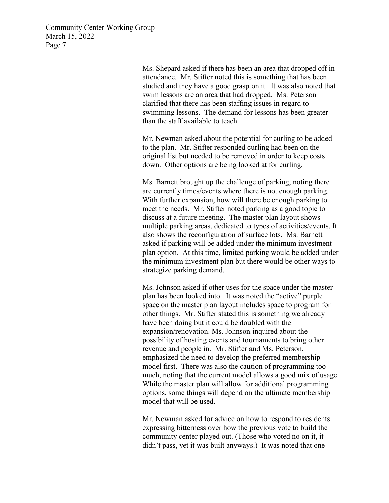> Ms. Shepard asked if there has been an area that dropped off in attendance. Mr. Stifter noted this is something that has been studied and they have a good grasp on it. It was also noted that swim lessons are an area that had dropped. Ms. Peterson clarified that there has been staffing issues in regard to swimming lessons. The demand for lessons has been greater than the staff available to teach.

Mr. Newman asked about the potential for curling to be added to the plan. Mr. Stifter responded curling had been on the original list but needed to be removed in order to keep costs down. Other options are being looked at for curling.

Ms. Barnett brought up the challenge of parking, noting there are currently times/events where there is not enough parking. With further expansion, how will there be enough parking to meet the needs. Mr. Stifter noted parking as a good topic to discuss at a future meeting. The master plan layout shows multiple parking areas, dedicated to types of activities/events. It also shows the reconfiguration of surface lots. Ms. Barnett asked if parking will be added under the minimum investment plan option. At this time, limited parking would be added under the minimum investment plan but there would be other ways to strategize parking demand.

Ms. Johnson asked if other uses for the space under the master plan has been looked into. It was noted the "active" purple space on the master plan layout includes space to program for other things. Mr. Stifter stated this is something we already have been doing but it could be doubled with the expansion/renovation. Ms. Johnson inquired about the possibility of hosting events and tournaments to bring other revenue and people in. Mr. Stifter and Ms. Peterson, emphasized the need to develop the preferred membership model first. There was also the caution of programming too much, noting that the current model allows a good mix of usage. While the master plan will allow for additional programming options, some things will depend on the ultimate membership model that will be used.

Mr. Newman asked for advice on how to respond to residents expressing bitterness over how the previous vote to build the community center played out. (Those who voted no on it, it didn't pass, yet it was built anyways.) It was noted that one